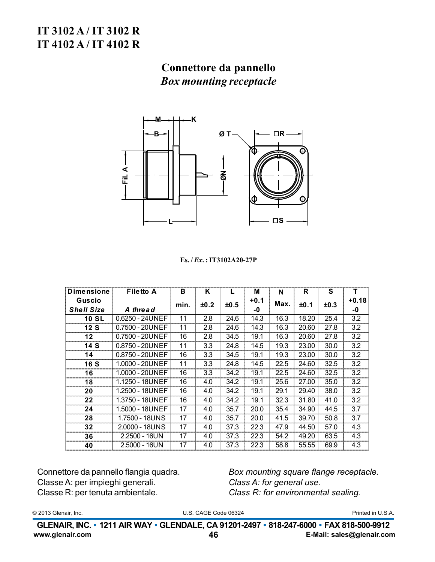## IT 3102 A/IT 3102 R IT 4102 A/IT 4102 R

# Connettore da pannello **Box mounting receptacle**



#### $Es. / Ex. : IT3102A20-27P$

| <b>Dimensione</b>           | <b>Filetto A</b> | в    | Κ    |      | М            | N    | R     | S    | т                |
|-----------------------------|------------------|------|------|------|--------------|------|-------|------|------------------|
| Guscio<br><b>Shell Size</b> | A thread         | min. | ±0.2 | ±0.5 | $+0.1$<br>-0 | Max. | ±0.1  | ±0.3 | $+0.18$<br>-0    |
| <b>10 SL</b>                | 0.6250 - 24UNEF  | 11   | 2.8  | 24.6 | 14.3         | 16.3 | 18.20 | 25.4 | 3.2              |
| 12 S                        | 0.7500 - 20UNEF  | 11   | 2.8  | 24.6 | 14.3         | 16.3 | 20.60 | 27.8 | 3.2              |
| 12                          | 0.7500 - 20UNEF  | 16   | 2.8  | 34.5 | 19.1         | 16.3 | 20.60 | 27.8 | 3.2              |
| 14 S                        | 0.8750 - 20UNEF  | 11   | 3.3  | 24.8 | 14.5         | 19.3 | 23.00 | 30.0 | 3.2              |
| 14                          | 0.8750 - 20UNEF  | 16   | 3.3  | 34.5 | 19.1         | 19.3 | 23.00 | 30.0 | 3.2              |
| 16 S                        | 1.0000 - 20UNEF  | 11   | 3.3  | 24.8 | 14.5         | 22.5 | 24.60 | 32.5 | 3.2              |
| 16                          | 1.0000 - 20UNEF  | 16   | 3.3  | 34.2 | 19.1         | 22.5 | 24.60 | 32.5 | 3.2              |
| 18                          | 1.1250 - 18UNEF  | 16   | 4.0  | 34.2 | 19.1         | 25.6 | 27.00 | 35.0 | 3.2              |
| 20                          | 1.2500 - 18UNEF  | 16   | 4.0  | 34.2 | 19.1         | 29.1 | 29.40 | 38.0 | 3.2              |
| 22                          | 1.3750 - 18UNEF  | 16   | 4.0  | 34.2 | 19.1         | 32.3 | 31.80 | 41.0 | 3.2              |
| 24                          | 1.5000 - 18UNEF  | 17   | 4.0  | 35.7 | 20.0         | 35.4 | 34.90 | 44.5 | 3.7              |
| 28                          | 1.7500 - 18UNS   | 17   | 4.0  | 35.7 | 20.0         | 41.5 | 39.70 | 50.8 | $\overline{3.7}$ |
| 32                          | 2.0000 - 18UNS   | 17   | 4.0  | 37.3 | 22.3         | 47.9 | 44.50 | 57.0 | 4.3              |
| 36                          | $2.2500 - 16UN$  | 17   | 4.0  | 37.3 | 22.3         | 54.2 | 49.20 | 63.5 | 4.3              |
| 40                          | $2.5000 - 16UN$  | 17   | 4.0  | 37.3 | 22.3         | 58.8 | 55.55 | 69.9 | 4.3              |

Connettore da pannello flangia quadra. Classe A: per impieghi generali. Classe R: per tenuta ambientale.

Box mounting square flange receptacle. Class A: for general use. Class R: for environmental sealing.

© 2013 Glenair, Inc.

U.S. CAGE Code 06324

Printed in U.S.A.

GLENAIR, INC. • 1211 AIR WAY • GLENDALE, CA 91201-2497 • 818-247-6000 • FAX 818-500-9912 www.glenair.com E-Mail: sales@glenair.com 46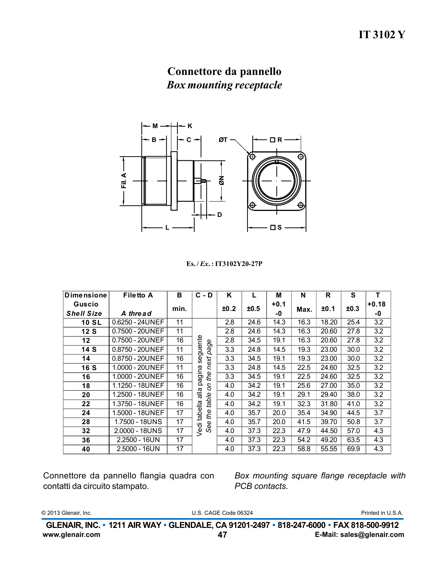## Connettore da pannello **Box mounting receptacle**



 $Es. / Ex. : IT3102Y20-27P$ 

| <b>Dimensione</b>           | <b>Filetto A</b>  | в    | $C - D$          | ĸ    |      | M          | N    | R     | S    | т                |
|-----------------------------|-------------------|------|------------------|------|------|------------|------|-------|------|------------------|
| Guscio<br><b>Shell Size</b> | A thread          | min. |                  | ±0.2 | ±0.5 | +0.1<br>-0 | Max. | ±0.1  | ±0.3 | $+0.18$<br>-0    |
| <b>10 SL</b>                | $0.6250 - 24UNEF$ | 11   |                  | 2.8  | 24.6 | 14.3       | 16.3 | 18.20 | 25.4 | 3.2              |
| 12S                         | 0.7500 - 20UNEF   | 11   |                  | 2.8  | 24.6 | 14.3       | 16.3 | 20.60 | 27.8 | 3.2              |
| 12                          | 0.7500 - 20UNEF   | 16   |                  | 2.8  | 34.5 | 19.1       | 16.3 | 20.60 | 27.8 | 3.2              |
| 14 S                        | 0.8750 - 20UNEF   | 11   | seguente<br>page | 3.3  | 24.8 | 14.5       | 19.3 | 23.00 | 30.0 | 3.2              |
| 14                          | 0.8750 - 20UNEF   | 16   | next             | 3.3  | 34.5 | 19.1       | 19.3 | 23.00 | 30.0 | 3.2              |
| <b>16 S</b>                 | 1.0000 - 20UNEF   | 11   |                  | 3.3  | 24.8 | 14.5       | 22.5 | 24.60 | 32.5 | 3.2              |
| 16                          | 1.0000 - 20UNEF   | 16   | pagina<br>the    | 3.3  | 34.5 | 19.1       | 22.5 | 24.60 | 32.5 | 3.2              |
| 18                          | 1.1250 - 18UNEF   | 16   | S                | 4.0  | 34.2 | 19.1       | 25.6 | 27.00 | 35.0 | 3.2              |
| 20                          | 1.2500 - 18UNEF   | 16   | alla             | 4.0  | 34.2 | 19.1       | 29.1 | 29.40 | 38.0 | 3.2              |
| 22                          | 1.3750 - 18UNEF   | 16   | table            | 4.0  | 34.2 | 19.1       | 32.3 | 31.80 | 41.0 | $\overline{3.2}$ |
| 24                          | 1.5000 - 18UNEF   | 17   | tabella<br>the   | 4.0  | 35.7 | 20.0       | 35.4 | 34.90 | 44.5 | 3.7              |
| 28                          | 1.7500 - 18UNS    | 17   | See              | 4.0  | 35.7 | 20.0       | 41.5 | 39.70 | 50.8 | 3.7              |
| 32                          | 2.0000 - 18UNS    | 17   | Vedi             | 4.0  | 37.3 | 22.3       | 47.9 | 44.50 | 57.0 | 4.3              |
| 36                          | 2.2500 - 16UN     | 17   |                  | 4.0  | 37.3 | 22.3       | 54.2 | 49.20 | 63.5 | 4.3              |
| 40                          | 2.5000 - 16UN     | 17   |                  | 4.0  | 37.3 | 22.3       | 58.8 | 55.55 | 69.9 | 4.3              |

Connettore da pannello flangia quadra con contatti da circuito stampato.

Box mounting square flange receptacle with PCB contacts.

© 2013 Glenair, Inc.

U.S. CAGE Code 06324

Printed in U.S.A.